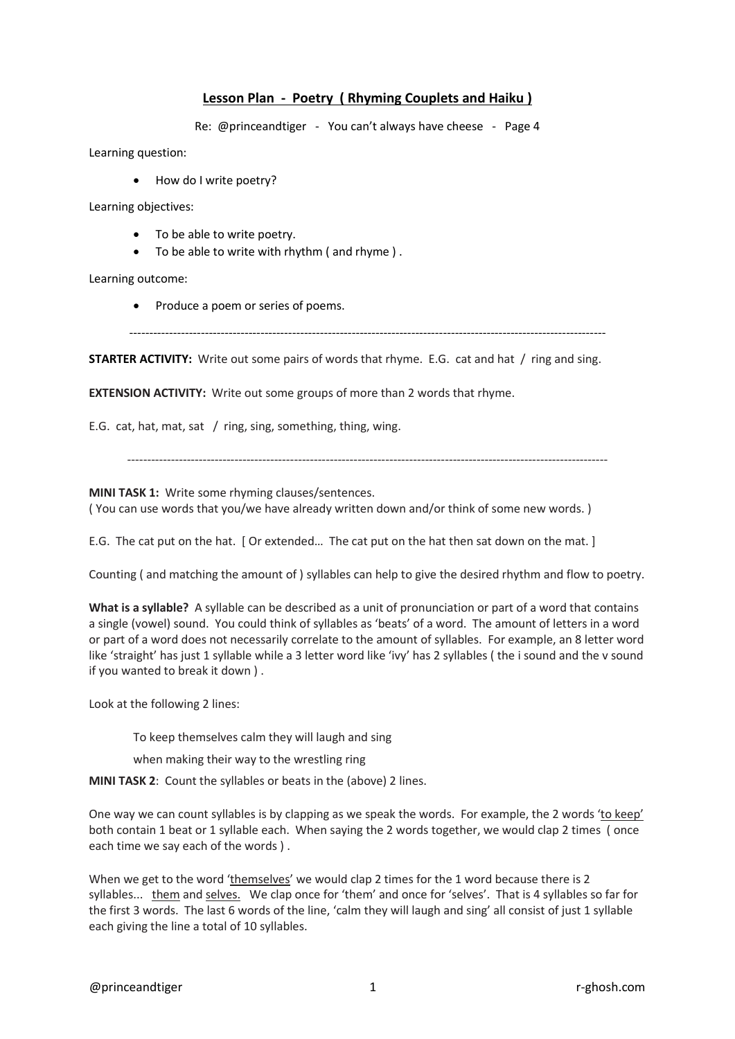## **Lesson Plan - Poetry ( Rhyming Couplets and Haiku )**

Re: @princeandtiger - You can't always have cheese - Page 4

Learning question:

• How do I write poetry?

Learning objectives:

- To be able to write poetry.
- To be able to write with rhythm ( and rhyme ) .

Learning outcome:

• Produce a poem or series of poems.

------------------------------------------------------------------------------------------------------------------------

**STARTER ACTIVITY:** Write out some pairs of words that rhyme. E.G. cat and hat / ring and sing.

**EXTENSION ACTIVITY:** Write out some groups of more than 2 words that rhyme.

E.G. cat, hat, mat, sat / ring, sing, something, thing, wing.

-------------------------------------------------------------------------------------------------------------------------

**MINI TASK 1:** Write some rhyming clauses/sentences.

( You can use words that you/we have already written down and/or think of some new words. )

E.G. The cat put on the hat. [ Or extended... The cat put on the hat then sat down on the mat.]

Counting ( and matching the amount of ) syllables can help to give the desired rhythm and flow to poetry.

**What is a syllable?** A syllable can be described as a unit of pronunciation or part of a word that contains a single (vowel) sound. You could think of syllables as 'beats' of a word. The amount of letters in a word or part of a word does not necessarily correlate to the amount of syllables. For example, an 8 letter word like 'straight' has just 1 syllable while a 3 letter word like 'ivy' has 2 syllables ( the i sound and the v sound if you wanted to break it down ) .

Look at the following 2 lines:

To keep themselves calm they will laugh and sing

when making their way to the wrestling ring

**MINI TASK 2**: Count the syllables or beats in the (above) 2 lines.

One way we can count syllables is by clapping as we speak the words. For example, the 2 words 'to keep' both contain 1 beat or 1 syllable each. When saying the 2 words together, we would clap 2 times ( once each time we say each of the words ) .

When we get to the word 'themselves' we would clap 2 times for the 1 word because there is 2 syllables... them and selves. We clap once for 'them' and once for 'selves'. That is 4 syllables so far for the first 3 words. The last 6 words of the line, 'calm they will laugh and sing' all consist of just 1 syllable each giving the line a total of 10 syllables.